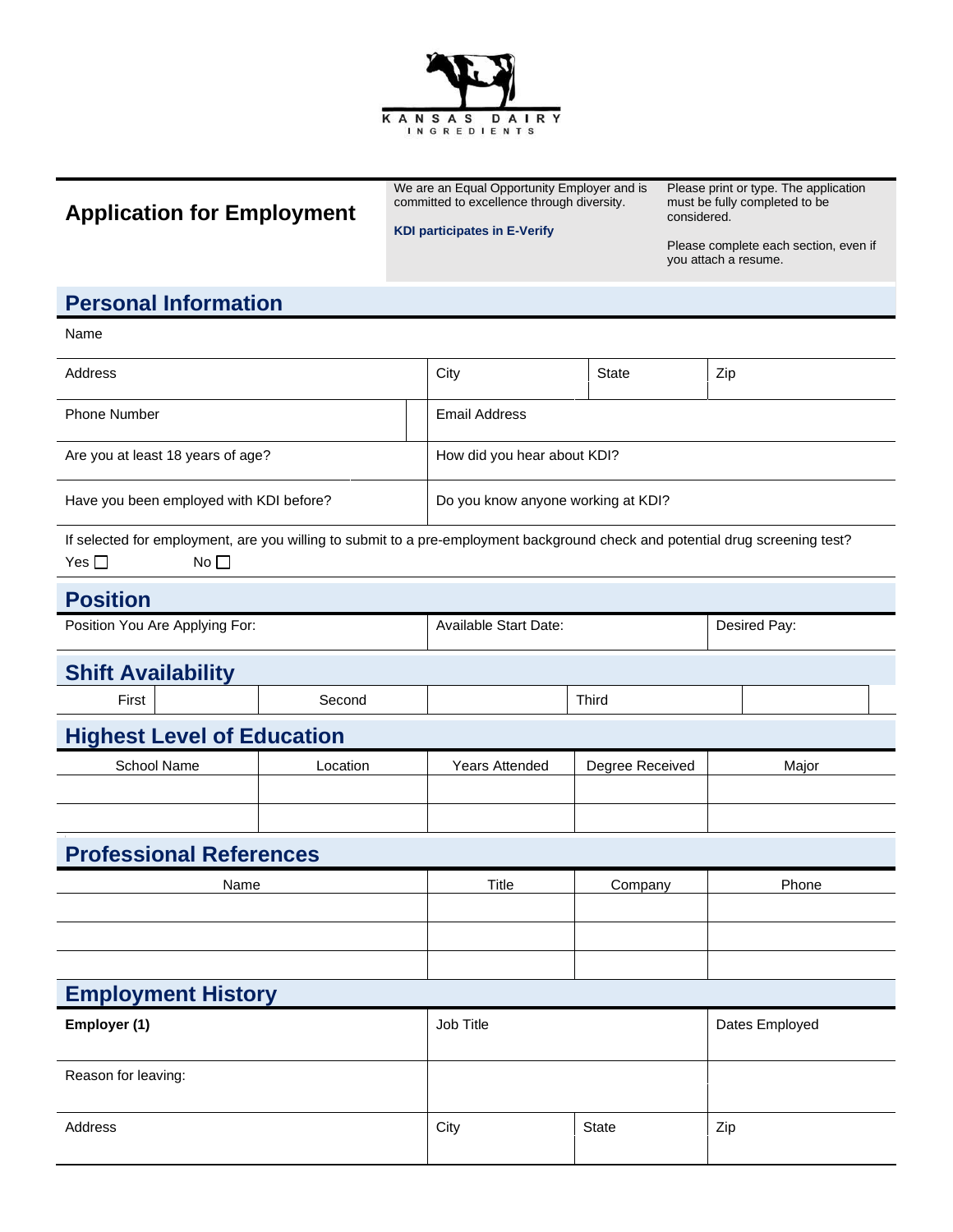

# **Application for Employment**

We are an Equal Opportunity Employer and is committed to excellence through diversity.

Please print or type. The application must be fully completed to be considered.

#### **KDI participates in E-Verify**

Please complete each section, even if you attach a resume.

## **Personal Information**

| Name                                                                                                                                                           |          |                                    |                 |                |  |  |
|----------------------------------------------------------------------------------------------------------------------------------------------------------------|----------|------------------------------------|-----------------|----------------|--|--|
| Address                                                                                                                                                        |          | City                               | <b>State</b>    | Zip            |  |  |
| <b>Phone Number</b>                                                                                                                                            |          | <b>Email Address</b>               |                 |                |  |  |
| Are you at least 18 years of age?                                                                                                                              |          | How did you hear about KDI?        |                 |                |  |  |
| Have you been employed with KDI before?                                                                                                                        |          | Do you know anyone working at KDI? |                 |                |  |  |
| If selected for employment, are you willing to submit to a pre-employment background check and potential drug screening test?<br>Yes $\square$<br>No $\square$ |          |                                    |                 |                |  |  |
| <b>Position</b>                                                                                                                                                |          |                                    |                 |                |  |  |
| Position You Are Applying For:                                                                                                                                 |          | Available Start Date:              |                 | Desired Pay:   |  |  |
| <b>Shift Availability</b>                                                                                                                                      |          |                                    |                 |                |  |  |
| First                                                                                                                                                          | Second   |                                    | Third           |                |  |  |
| <b>Highest Level of Education</b>                                                                                                                              |          |                                    |                 |                |  |  |
| School Name                                                                                                                                                    | Location | Years Attended                     | Degree Received | Major          |  |  |
|                                                                                                                                                                |          |                                    |                 |                |  |  |
|                                                                                                                                                                |          |                                    |                 |                |  |  |
| <b>Professional References</b>                                                                                                                                 |          |                                    |                 |                |  |  |
| Name                                                                                                                                                           |          | Title                              | Company         | Phone          |  |  |
|                                                                                                                                                                |          |                                    |                 |                |  |  |
|                                                                                                                                                                |          |                                    |                 |                |  |  |
|                                                                                                                                                                |          |                                    |                 |                |  |  |
| <b>Employment History</b>                                                                                                                                      |          |                                    |                 |                |  |  |
| Employer (1)                                                                                                                                                   |          | Job Title                          |                 | Dates Employed |  |  |
| Reason for leaving:                                                                                                                                            |          |                                    |                 |                |  |  |
| Address                                                                                                                                                        |          | City                               | <b>State</b>    | Zip            |  |  |